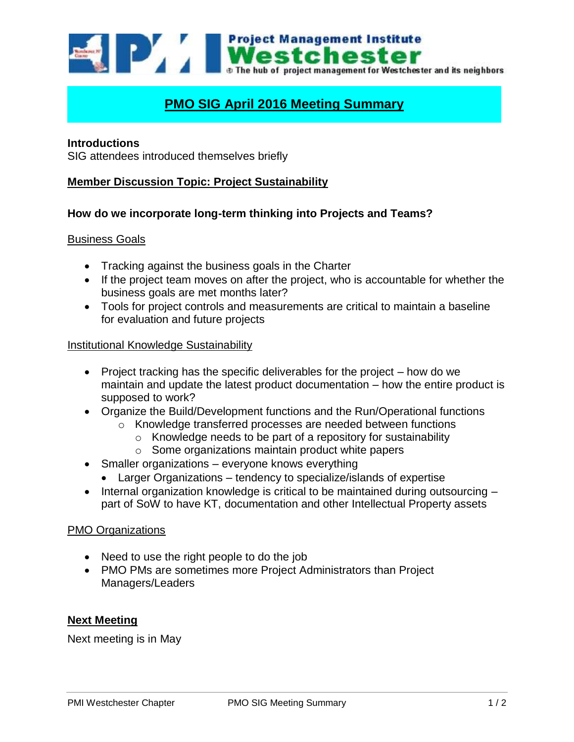

# **PMO SIG April 2016 Meeting Summary**

## **Introductions**

SIG attendees introduced themselves briefly

# **Member Discussion Topic: Project Sustainability**

#### **How do we incorporate long-term thinking into Projects and Teams?**

#### Business Goals

- Tracking against the business goals in the Charter
- If the project team moves on after the project, who is accountable for whether the business goals are met months later?
- Tools for project controls and measurements are critical to maintain a baseline for evaluation and future projects

#### Institutional Knowledge Sustainability

- Project tracking has the specific deliverables for the project  $-$  how do we maintain and update the latest product documentation – how the entire product is supposed to work?
- Organize the Build/Development functions and the Run/Operational functions
	- o Knowledge transferred processes are needed between functions
		- $\circ$  Knowledge needs to be part of a repository for sustainability
		- o Some organizations maintain product white papers
- Smaller organizations everyone knows everything
	- Larger Organizations tendency to specialize/islands of expertise
- $\bullet$  Internal organization knowledge is critical to be maintained during outsourcing  $$ part of SoW to have KT, documentation and other Intellectual Property assets

## **PMO Organizations**

- Need to use the right people to do the job
- PMO PMs are sometimes more Project Administrators than Project Managers/Leaders

# **Next Meeting**

Next meeting is in May